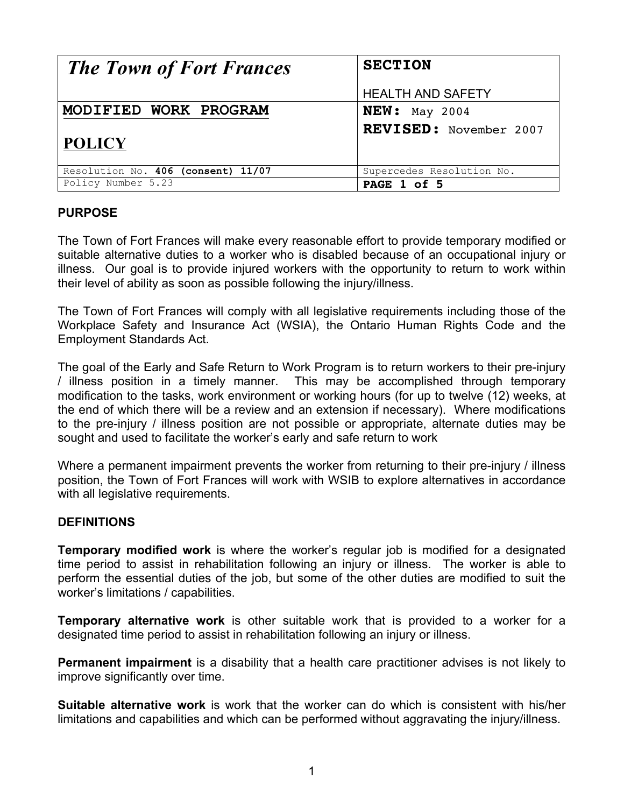| <b>The Town of Fort Frances</b>    | <b>SECTION</b>            |
|------------------------------------|---------------------------|
|                                    | <b>HEALTH AND SAFETY</b>  |
| MODIFIED WORK PROGRAM              | $NEW:$ May 2004           |
| <b>POLICY</b>                      | REVISED: November 2007    |
| Resolution No. 406 (consent) 11/07 | Supercedes Resolution No. |
| Policy Number 5.23                 | PAGE 1 of 5               |

#### **PURPOSE**

The Town of Fort Frances will make every reasonable effort to provide temporary modified or suitable alternative duties to a worker who is disabled because of an occupational injury or illness. Our goal is to provide injured workers with the opportunity to return to work within their level of ability as soon as possible following the injury/illness.

The Town of Fort Frances will comply with all legislative requirements including those of the Workplace Safety and Insurance Act (WSIA), the Ontario Human Rights Code and the Employment Standards Act.

The goal of the Early and Safe Return to Work Program is to return workers to their pre-injury / illness position in a timely manner. This may be accomplished through temporary modification to the tasks, work environment or working hours (for up to twelve (12) weeks, at the end of which there will be a review and an extension if necessary). Where modifications to the pre-injury / illness position are not possible or appropriate, alternate duties may be sought and used to facilitate the worker's early and safe return to work

Where a permanent impairment prevents the worker from returning to their pre-injury / illness position, the Town of Fort Frances will work with WSIB to explore alternatives in accordance with all legislative requirements.

#### **DEFINITIONS**

**Temporary modified work** is where the worker's regular job is modified for a designated time period to assist in rehabilitation following an injury or illness. The worker is able to perform the essential duties of the job, but some of the other duties are modified to suit the worker's limitations / capabilities.

**Temporary alternative work** is other suitable work that is provided to a worker for a designated time period to assist in rehabilitation following an injury or illness.

**Permanent impairment** is a disability that a health care practitioner advises is not likely to improve significantly over time.

**Suitable alternative work** is work that the worker can do which is consistent with his/her limitations and capabilities and which can be performed without aggravating the injury/illness.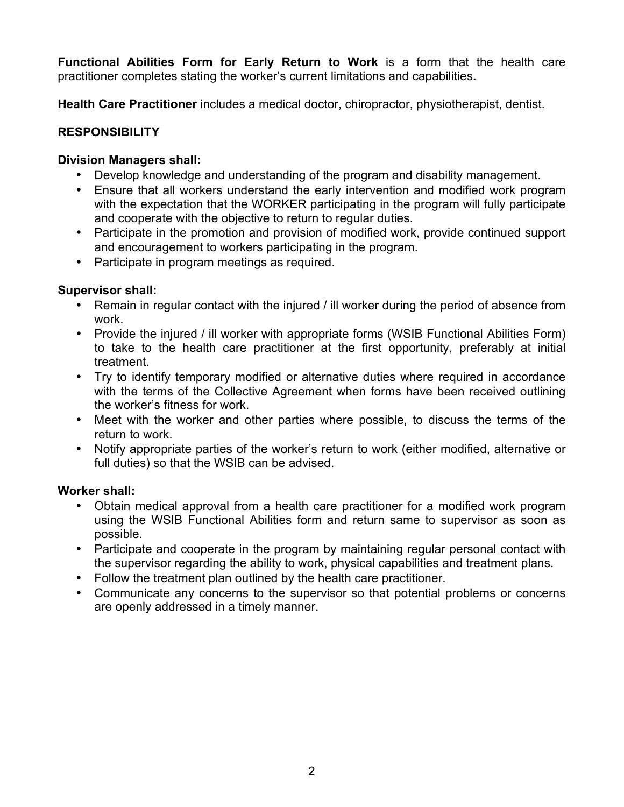**Functional Abilities Form for Early Return to Work** is a form that the health care practitioner completes stating the worker's current limitations and capabilities**.** 

**Health Care Practitioner** includes a medical doctor, chiropractor, physiotherapist, dentist.

## **RESPONSIBILITY**

#### **Division Managers shall:**

- Develop knowledge and understanding of the program and disability management.
- Ensure that all workers understand the early intervention and modified work program with the expectation that the WORKER participating in the program will fully participate and cooperate with the objective to return to regular duties.
- Participate in the promotion and provision of modified work, provide continued support and encouragement to workers participating in the program.
- Participate in program meetings as required.

## **Supervisor shall:**

- Remain in regular contact with the injured / ill worker during the period of absence from work.
- Provide the injured / ill worker with appropriate forms (WSIB Functional Abilities Form) to take to the health care practitioner at the first opportunity, preferably at initial treatment.
- Try to identify temporary modified or alternative duties where required in accordance with the terms of the Collective Agreement when forms have been received outlining the worker's fitness for work.
- Meet with the worker and other parties where possible, to discuss the terms of the return to work.
- Notify appropriate parties of the worker's return to work (either modified, alternative or full duties) so that the WSIB can be advised.

## **Worker shall:**

- Obtain medical approval from a health care practitioner for a modified work program using the WSIB Functional Abilities form and return same to supervisor as soon as possible.
- Participate and cooperate in the program by maintaining regular personal contact with the supervisor regarding the ability to work, physical capabilities and treatment plans.
- Follow the treatment plan outlined by the health care practitioner.
- Communicate any concerns to the supervisor so that potential problems or concerns are openly addressed in a timely manner.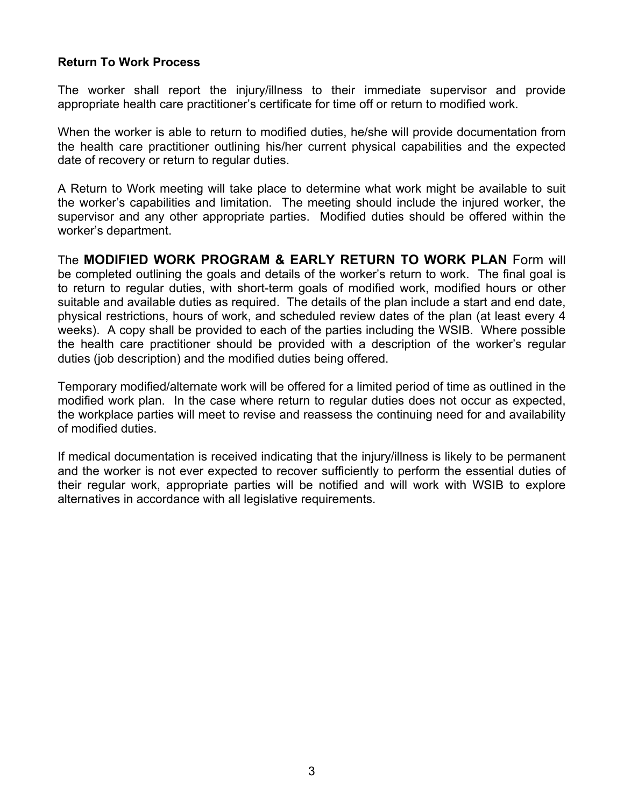#### **Return To Work Process**

The worker shall report the injury/illness to their immediate supervisor and provide appropriate health care practitioner's certificate for time off or return to modified work.

When the worker is able to return to modified duties, he/she will provide documentation from the health care practitioner outlining his/her current physical capabilities and the expected date of recovery or return to regular duties.

A Return to Work meeting will take place to determine what work might be available to suit the worker's capabilities and limitation. The meeting should include the injured worker, the supervisor and any other appropriate parties. Modified duties should be offered within the worker's department.

The **MODIFIED WORK PROGRAM & EARLY RETURN TO WORK PLAN** Form will be completed outlining the goals and details of the worker's return to work. The final goal is to return to regular duties, with short-term goals of modified work, modified hours or other suitable and available duties as required. The details of the plan include a start and end date, physical restrictions, hours of work, and scheduled review dates of the plan (at least every 4 weeks). A copy shall be provided to each of the parties including the WSIB. Where possible the health care practitioner should be provided with a description of the worker's regular duties (job description) and the modified duties being offered.

Temporary modified/alternate work will be offered for a limited period of time as outlined in the modified work plan. In the case where return to regular duties does not occur as expected, the workplace parties will meet to revise and reassess the continuing need for and availability of modified duties.

If medical documentation is received indicating that the injury/illness is likely to be permanent and the worker is not ever expected to recover sufficiently to perform the essential duties of their regular work, appropriate parties will be notified and will work with WSIB to explore alternatives in accordance with all legislative requirements.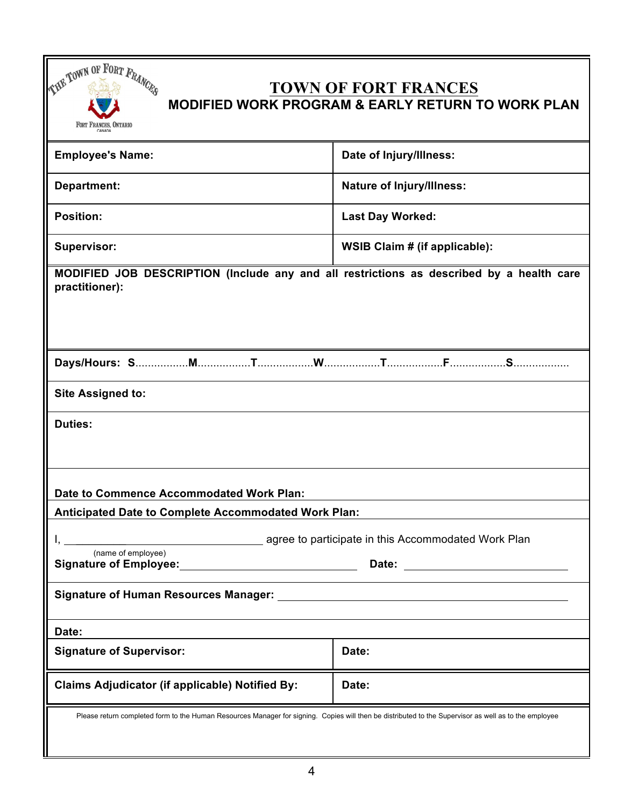

# **TOWN OF FORT FRANCES MODIFIED WORK PROGRAM & EARLY RETURN TO WORK PLAN**

| <b>Employee's Name:</b>                                                                                                                               | Date of Injury/Illness:          |  |
|-------------------------------------------------------------------------------------------------------------------------------------------------------|----------------------------------|--|
| <b>Department:</b>                                                                                                                                    | <b>Nature of Injury/Illness:</b> |  |
| <b>Position:</b>                                                                                                                                      | <b>Last Day Worked:</b>          |  |
| <b>Supervisor:</b>                                                                                                                                    | WSIB Claim # (if applicable):    |  |
| MODIFIED JOB DESCRIPTION (Include any and all restrictions as described by a health care<br>practitioner):                                            |                                  |  |
|                                                                                                                                                       |                                  |  |
| <b>Site Assigned to:</b>                                                                                                                              |                                  |  |
| <b>Duties:</b>                                                                                                                                        |                                  |  |
| Date to Commence Accommodated Work Plan:                                                                                                              |                                  |  |
| Anticipated Date to Complete Accommodated Work Plan:                                                                                                  |                                  |  |
|                                                                                                                                                       |                                  |  |
| agree to participate in this Accommodated Work Plan<br>(name of employee)                                                                             |                                  |  |
| Signature of Employee: Signature of Employee:<br>Date: <u>_______________</u>                                                                         |                                  |  |
| <b>Signature of Human Resources Manager:</b>                                                                                                          |                                  |  |
| Date:                                                                                                                                                 |                                  |  |
| <b>Signature of Supervisor:</b>                                                                                                                       | Date:                            |  |
| <b>Claims Adjudicator (if applicable) Notified By:</b>                                                                                                | Date:                            |  |
| Please return completed form to the Human Resources Manager for signing. Copies will then be distributed to the Supervisor as well as to the employee |                                  |  |